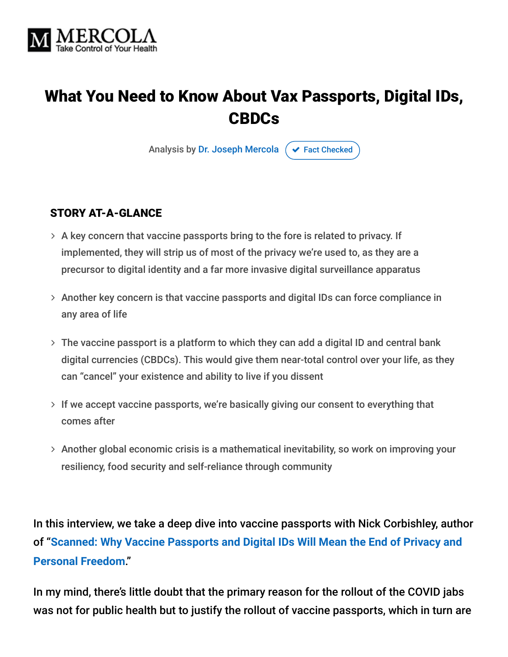

# What You Need to Know About Vax Passports, Digital IDs, CBDCs

Analysis by [Dr. Joseph Mercola](https://www.mercola.com/forms/background.htm)  $\sigma$  [Fact Checked](javascript:void(0))

#### STORY AT-A-GLANCE

- $>$  A key concern that vaccine passports bring to the fore is related to privacy. If implemented, they will strip us of most of the privacy we're used to, as they are a precursor to digital identity and a far more invasive digital surveillance apparatus
- $>$  Another key concern is that vaccine passports and digital IDs can force compliance in any area of life
- The vaccine passport is a platform to which they can add a digital ID and central bank digital currencies (CBDCs). This would give them near-total control over your life, as they can "cancel" your existence and ability to live if you dissent
- $>$  If we accept vaccine passports, we're basically giving our consent to everything that comes after
- Another global economic crisis is a mathematical inevitability, so work on improving your resiliency, food security and self-reliance through community

In this interview, we take a deep dive into vaccine passports with Nick Corbishley, author of "**[Scanned: Why Vaccine Passports and Digital IDs Will Mean the End of Privacy and](https://www.amazon.com/Scanned-Vaccine-Passports-Digital-Personal/dp/1645021629) Personal Freedom**."

In my mind, there's little doubt that the primary reason for the rollout of the COVID jabs was not for public health but to justify the rollout of vaccine passports, which in turn are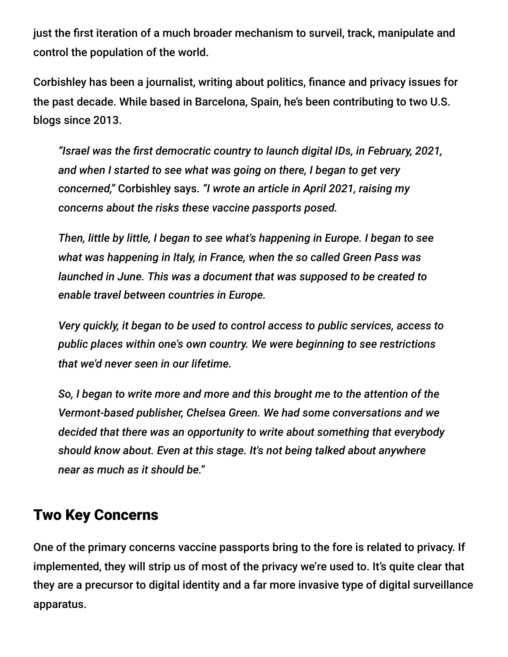just the first iteration of a much broader mechanism to surveil, track, manipulate and control the population of the world.

Corbishley has been a journalist, writing about politics, finance and privacy issues for the past decade. While based in Barcelona, Spain, he's been contributing to two U.S. blogs since 2013.

*"Israel was the first democratic country to launch digital IDs, in February, 2021, and when I started to see what was going on there, I began to get very concerned,"* Corbishley says. *"I wrote an article in April 2021, raising my concerns about the risks these vaccine passports posed.*

*Then, little by little, I began to see what's happening in Europe. I began to see what was happening in Italy, in France, when the so called Green Pass was launched in June. This was a document that was supposed to be created to enable travel between countries in Europe.*

*Very quickly, it began to be used to control access to public services, access to public places within one's own country. We were beginning to see restrictions that we'd never seen in our lifetime.*

*So, I began to write more and more and this brought me to the attention of the Vermont-based publisher, Chelsea Green. We had some conversations and we decided that there was an opportunity to write about something that everybody should know about. Even at this stage. It's not being talked about anywhere near as much as it should be."*

### Two Key Concerns

One of the primary concerns vaccine passports bring to the fore is related to privacy. If implemented, they will strip us of most of the privacy we're used to. It's quite clear that they are a precursor to digital identity and a far more invasive type of digital surveillance apparatus.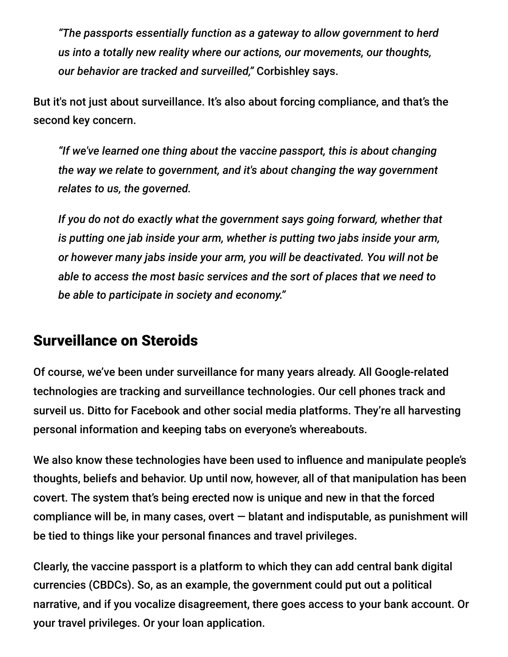*"The passports essentially function as a gateway to allow government to herd us into a totally new reality where our actions, our movements, our thoughts, our behavior are tracked and surveilled,"* Corbishley says.

But it's not just about surveillance. It's also about forcing compliance, and that's the second key concern.

*"If we've learned one thing about the vaccine passport, this is about changing the way we relate to government, and it's about changing the way government relates to us, the governed.*

*If you do not do exactly what the government says going forward, whether that is putting one jab inside your arm, whether is putting two jabs inside your arm, or however many jabs inside your arm, you will be deactivated. You will not be able to access the most basic services and the sort of places that we need to be able to participate in society and economy."*

#### Surveillance on Steroids

Of course, we've been under surveillance for many years already. All Google-related technologies are tracking and surveillance technologies. Our cell phones track and surveil us. Ditto for Facebook and other social media platforms. They're all harvesting personal information and keeping tabs on everyone's whereabouts.

We also know these technologies have been used to influence and manipulate people's thoughts, beliefs and behavior. Up until now, however, all of that manipulation has been covert. The system that's being erected now is unique and new in that the forced compliance will be, in many cases, overt  $-$  blatant and indisputable, as punishment will be tied to things like your personal finances and travel privileges.

Clearly, the vaccine passport is a platform to which they can add central bank digital currencies (CBDCs). So, as an example, the government could put out a political narrative, and if you vocalize disagreement, there goes access to your bank account. Or your travel privileges. Or your loan application.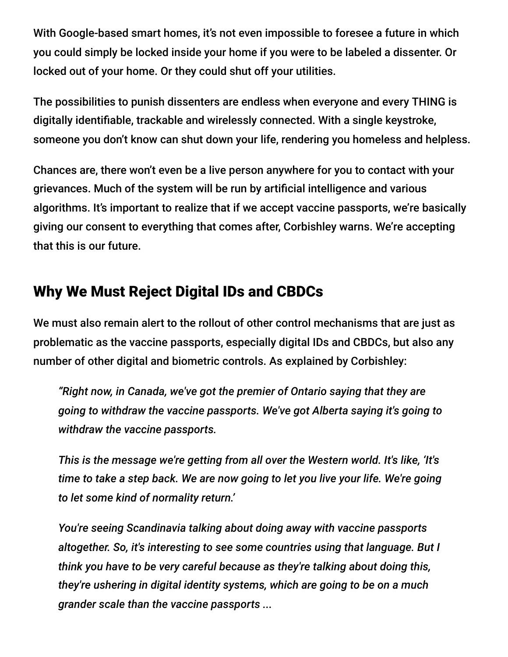With Google-based smart homes, it's not even impossible to foresee a future in which you could simply be locked inside your home if you were to be labeled a dissenter. Or locked out of your home. Or they could shut off your utilities.

The possibilities to punish dissenters are endless when everyone and every THING is digitally identifiable, trackable and wirelessly connected. With a single keystroke, someone you don't know can shut down your life, rendering you homeless and helpless.

Chances are, there won't even be a live person anywhere for you to contact with your grievances. Much of the system will be run by artificial intelligence and various algorithms. It's important to realize that if we accept vaccine passports, we're basically giving our consent to everything that comes after, Corbishley warns. We're accepting that this is our future.

## Why We Must Reject Digital IDs and CBDCs

We must also remain alert to the rollout of other control mechanisms that are just as problematic as the vaccine passports, especially digital IDs and CBDCs, but also any number of other digital and biometric controls. As explained by Corbishley:

*"Right now, in Canada, we've got the premier of Ontario saying that they are going to withdraw the vaccine passports. We've got Alberta saying it's going to withdraw the vaccine passports.*

*This is the message we're getting from all over the Western world. It's like, 'It's time to take a step back. We are now going to let you live your life. We're going to let some kind of normality return.'*

*You're seeing Scandinavia talking about doing away with vaccine passports altogether. So, it's interesting to see some countries using that language. But I think you have to be very careful because as they're talking about doing this, they're ushering in digital identity systems, which are going to be on a much grander scale than the vaccine passports ...*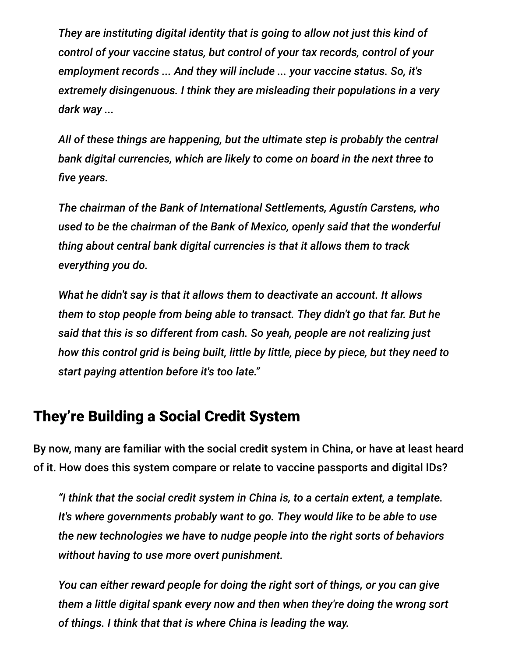*They are instituting digital identity that is going to allow not just this kind of control of your vaccine status, but control of your tax records, control of your employment records ... And they will include ... your vaccine status. So, it's extremely disingenuous. I think they are misleading their populations in a very dark way ...*

*All of these things are happening, but the ultimate step is probably the central bank digital currencies, which are likely to come on board in the next three to five years.*

*The chairman of the Bank of International Settlements, Agustín Carstens, who used to be the chairman of the Bank of Mexico, openly said that the wonderful thing about central bank digital currencies is that it allows them to track everything you do.*

*What he didn't say is that it allows them to deactivate an account. It allows them to stop people from being able to transact. They didn't go that far. But he said that this is so different from cash. So yeah, people are not realizing just how this control grid is being built, little by little, piece by piece, but they need to start paying attention before it's too late."*

#### They're Building a Social Credit System

By now, many are familiar with the social credit system in China, or have at least heard of it. How does this system compare or relate to vaccine passports and digital IDs?

*"I think that the social credit system in China is, to a certain extent, a template. It's where governments probably want to go. They would like to be able to use the new technologies we have to nudge people into the right sorts of behaviors without having to use more overt punishment.*

*You can either reward people for doing the right sort of things, or you can give them a little digital spank every now and then when they're doing the wrong sort of things. I think that that is where China is leading the way.*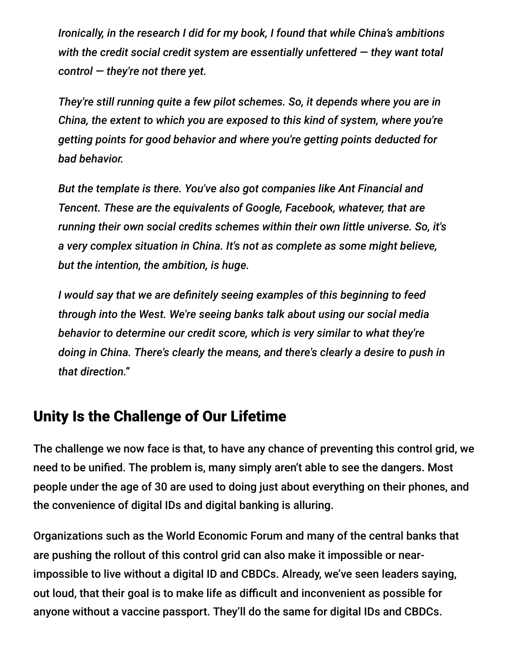*Ironically, in the research I did for my book, I found that while China's ambitions with the credit social credit system are essentially unfettered — they want total control — they're not there yet.*

*They're still running quite a few pilot schemes. So, it depends where you are in China, the extent to which you are exposed to this kind of system, where you're getting points for good behavior and where you're getting points deducted for bad behavior.*

*But the template is there. You've also got companies like Ant Financial and Tencent. These are the equivalents of Google, Facebook, whatever, that are running their own social credits schemes within their own little universe. So, it's a very complex situation in China. It's not as complete as some might believe, but the intention, the ambition, is huge.*

*I would say that we are definitely seeing examples of this beginning to feed through into the West. We're seeing banks talk about using our social media behavior to determine our credit score, which is very similar to what they're doing in China. There's clearly the means, and there's clearly a desire to push in that direction."*

### Unity Is the Challenge of Our Lifetime

The challenge we now face is that, to have any chance of preventing this control grid, we need to be unified. The problem is, many simply aren't able to see the dangers. Most people under the age of 30 are used to doing just about everything on their phones, and the convenience of digital IDs and digital banking is alluring.

Organizations such as the World Economic Forum and many of the central banks that are pushing the rollout of this control grid can also make it impossible or nearimpossible to live without a digital ID and CBDCs. Already, we've seen leaders saying, out loud, that their goal is to make life as difficult and inconvenient as possible for anyone without a vaccine passport. They'll do the same for digital IDs and CBDCs.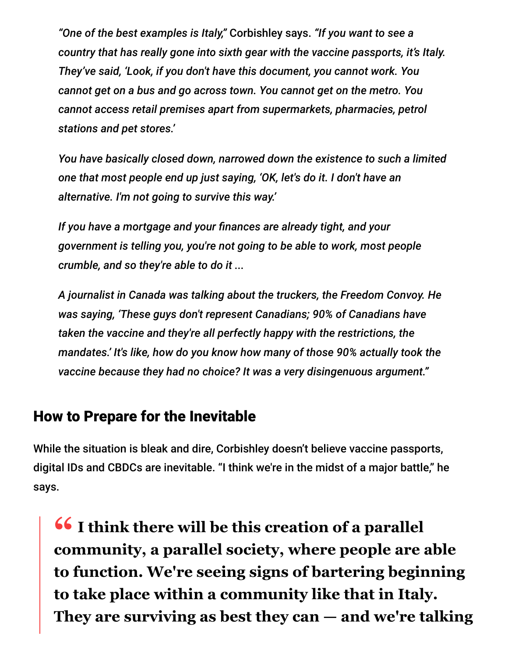*"One of the best examples is Italy,"* Corbishley says. *"If you want to see a country that has really gone into sixth gear with the vaccine passports, it's Italy. They've said, 'Look, if you don't have this document, you cannot work. You cannot get on a bus and go across town. You cannot get on the metro. You cannot access retail premises apart from supermarkets, pharmacies, petrol stations and pet stores.'*

*You have basically closed down, narrowed down the existence to such a limited one that most people end up just saying, 'OK, let's do it. I don't have an alternative. I'm not going to survive this way.'*

*If you have a mortgage and your finances are already tight, and your government is telling you, you're not going to be able to work, most people crumble, and so they're able to do it ...*

*A journalist in Canada was talking about the truckers, the Freedom Convoy. He was saying, 'These guys don't represent Canadians; 90% of Canadians have taken the vaccine and they're all perfectly happy with the restrictions, the mandates.' It's like, how do you know how many of those 90% actually took the vaccine because they had no choice? It was a very disingenuous argument."*

#### How to Prepare for the Inevitable

While the situation is bleak and dire, Corbishley doesn't believe vaccine passports, digital IDs and CBDCs are inevitable. "I think we're in the midst of a major battle," he says.

**<sup>66</sup>** I think there will be this creation of a parallel<br> **Community** a parallel society where people are **community, a parallel society, where people are able to function. We're seeing signs of bartering beginning to take place within a community like that in Italy. They are surviving as best they can — and we're talking**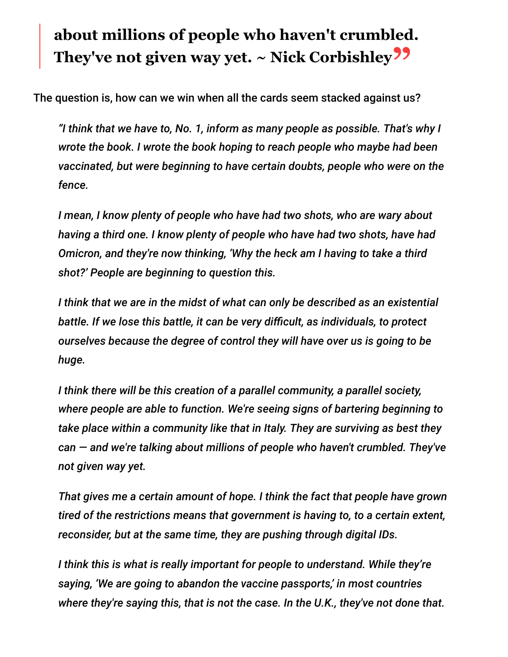# **about millions of people who haven't crumbled. They've not given way yet. ~ Nick Corbishley"**

The question is, how can we win when all the cards seem stacked against us?

*"I think that we have to, No. 1, inform as many people as possible. That's why I wrote the book. I wrote the book hoping to reach people who maybe had been vaccinated, but were beginning to have certain doubts, people who were on the fence.*

*I mean, I know plenty of people who have had two shots, who are wary about having a third one. I know plenty of people who have had two shots, have had Omicron, and they're now thinking, 'Why the heck am I having to take a third shot?' People are beginning to question this.*

*I think that we are in the midst of what can only be described as an existential battle. If we lose this battle, it can be very difficult, as individuals, to protect ourselves because the degree of control they will have over us is going to be huge.*

*I think there will be this creation of a parallel community, a parallel society, where people are able to function. We're seeing signs of bartering beginning to take place within a community like that in Italy. They are surviving as best they can — and we're talking about millions of people who haven't crumbled. They've not given way yet.*

*That gives me a certain amount of hope. I think the fact that people have grown tired of the restrictions means that government is having to, to a certain extent, reconsider, but at the same time, they are pushing through digital IDs.*

*I think this is what is really important for people to understand. While they're saying, 'We are going to abandon the vaccine passports,' in most countries where they're saying this, that is not the case. In the U.K., they've not done that.*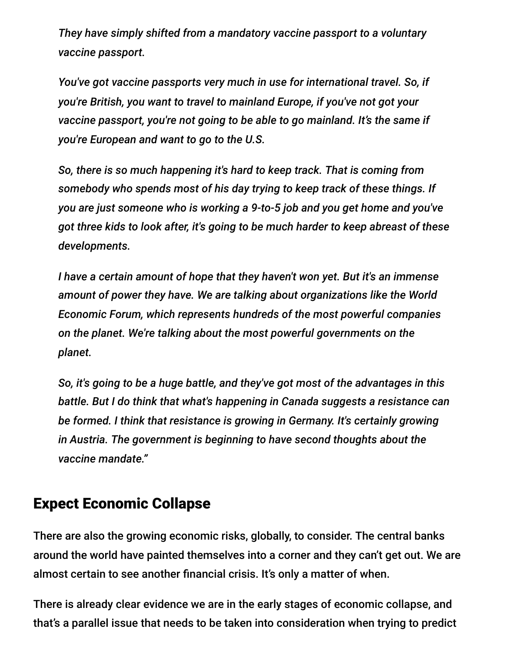*They have simply shifted from a mandatory vaccine passport to a voluntary vaccine passport.*

*You've got vaccine passports very much in use for international travel. So, if you're British, you want to travel to mainland Europe, if you've not got your vaccine passport, you're not going to be able to go mainland. It's the same if you're European and want to go to the U.S.*

*So, there is so much happening it's hard to keep track. That is coming from somebody who spends most of his day trying to keep track of these things. If you are just someone who is working a 9-to-5 job and you get home and you've got three kids to look after, it's going to be much harder to keep abreast of these developments.*

*I have a certain amount of hope that they haven't won yet. But it's an immense amount of power they have. We are talking about organizations like the World Economic Forum, which represents hundreds of the most powerful companies on the planet. We're talking about the most powerful governments on the planet.*

*So, it's going to be a huge battle, and they've got most of the advantages in this battle. But I do think that what's happening in Canada suggests a resistance can be formed. I think that resistance is growing in Germany. It's certainly growing in Austria. The government is beginning to have second thoughts about the vaccine mandate."*

### Expect Economic Collapse

There are also the growing economic risks, globally, to consider. The central banks around the world have painted themselves into a corner and they can't get out. We are almost certain to see another financial crisis. It's only a matter of when.

There is already clear evidence we are in the early stages of economic collapse, and that's a parallel issue that needs to be taken into consideration when trying to predict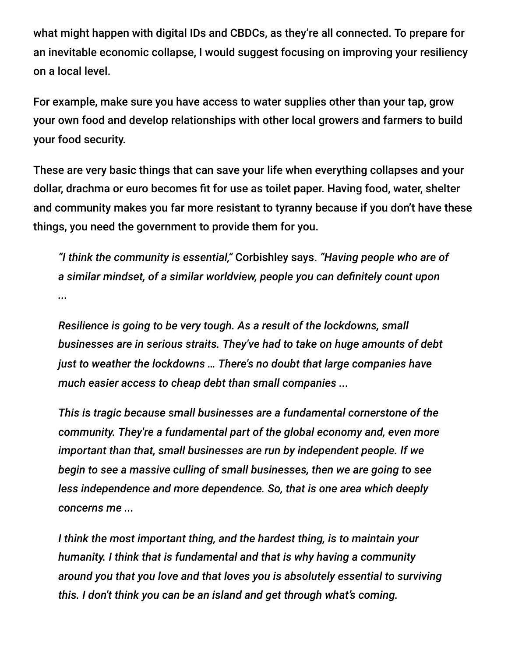what might happen with digital IDs and CBDCs, as they're all connected. To prepare for an inevitable economic collapse, I would suggest focusing on improving your resiliency on a local level.

For example, make sure you have access to water supplies other than your tap, grow your own food and develop relationships with other local growers and farmers to build your food security.

These are very basic things that can save your life when everything collapses and your dollar, drachma or euro becomes fit for use as toilet paper. Having food, water, shelter and community makes you far more resistant to tyranny because if you don't have these things, you need the government to provide them for you.

*"I think the community is essential,"* Corbishley says. *"Having people who are of a similar mindset, of a similar worldview, people you can definitely count upon ...*

*Resilience is going to be very tough. As a result of the lockdowns, small businesses are in serious straits. They've had to take on huge amounts of debt just to weather the lockdowns … There's no doubt that large companies have much easier access to cheap debt than small companies ...*

*This is tragic because small businesses are a fundamental cornerstone of the community. They're a fundamental part of the global economy and, even more important than that, small businesses are run by independent people. If we begin to see a massive culling of small businesses, then we are going to see less independence and more dependence. So, that is one area which deeply concerns me ...*

*I think the most important thing, and the hardest thing, is to maintain your humanity. I think that is fundamental and that is why having a community around you that you love and that loves you is absolutely essential to surviving this. I don't think you can be an island and get through what's coming.*